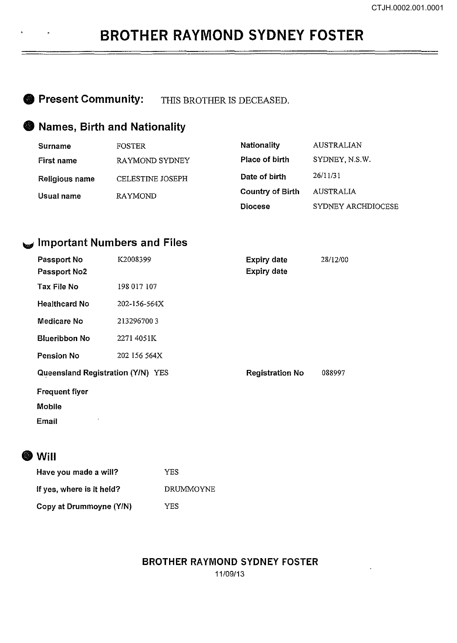## **BROTHER RAYMOND SYDNEY FOSTER**

**8 Present Community:** THIS BROTHER IS DECEASED.

## **8 Names, Birth and Nationality**

| Surname               | <b>FOSTER</b>           | <b>Nationality</b>      | <b>AUSTRALIAN</b>  |
|-----------------------|-------------------------|-------------------------|--------------------|
| First name            | RAYMOND SYDNEY          | Place of birth          | SYDNEY, N.S.W.     |
| <b>Religious name</b> | <b>CELESTINE JOSEPH</b> | Date of birth           | 26/11/31           |
| Usual name            | <b>RAYMOND</b>          | <b>Country of Birth</b> | AUSTRALIA          |
|                       |                         | <b>Diocese</b>          | SYDNEY ARCHDIOCESE |

### \_., **Important Numbers and Files**

| Passport No<br>Passport No2       | K2008399     | <b>Expiry date</b><br><b>Expiry date</b> | 28/12/00 |
|-----------------------------------|--------------|------------------------------------------|----------|
| Tax File No                       | 198 017 107  |                                          |          |
| <b>Healthcard No</b>              | 202-156-564X |                                          |          |
| Medicare No                       | 2132967003   |                                          |          |
| <b>Blueribbon No</b>              | 2271 4051K   |                                          |          |
| Pension No                        | 202 156 564X |                                          |          |
| Queensland Registration (Y/N) YES |              | <b>Registration No</b>                   | 088997   |
| <b>Frequent flyer</b>             |              |                                          |          |
| <b>Mobile</b>                     |              |                                          |          |
| $\blacksquare$<br>Email           |              |                                          |          |

## **ew** will

| Have you made a will?     | YES       |
|---------------------------|-----------|
| If yes, where is it held? | DRUMMOYNE |
| Copy at Drummoyne (Y/N)   | YES       |

#### **BROTHER RAYMOND SYDNEY FOSTER**  11/09/13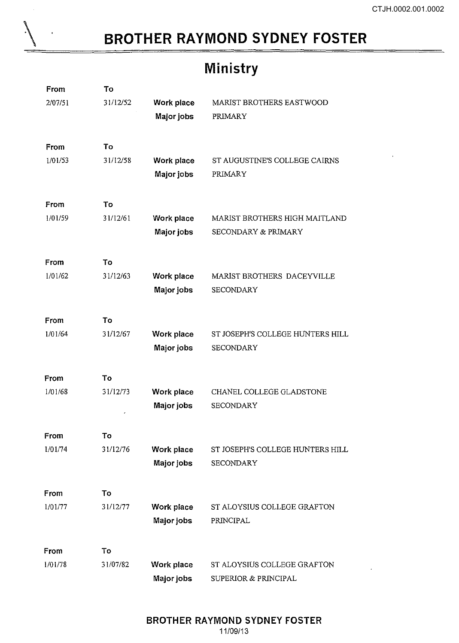# **BROTHER RAYMOND SYDNEY FOSTER**

\

 $\overline{a}$ 

# **Ministry**

| From    | To       |                   |                                  |
|---------|----------|-------------------|----------------------------------|
| 2/07/51 | 31/12/52 | Work place        | MARIST BROTHERS EASTWOOD         |
|         |          | Major jobs        | PRIMARY                          |
|         |          |                   |                                  |
| From    | To       |                   |                                  |
| 1/01/53 | 31/12/58 | Work place        | ST AUGUSTINE'S COLLEGE CAIRNS    |
|         |          | Major jobs        | PRIMARY                          |
|         |          |                   |                                  |
| From    | Тo       |                   |                                  |
| 1/01/59 | 31/12/61 | Work place        | MARIST BROTHERS HIGH MAITLAND    |
|         |          | Major jobs        | SECONDARY & PRIMARY              |
|         |          |                   |                                  |
| From    | To       |                   |                                  |
| 1/01/62 | 31/12/63 | Work place        | MARIST BROTHERS DACEYVILLE       |
|         |          | Major jobs        | <b>SECONDARY</b>                 |
|         |          |                   |                                  |
| From    | To       |                   |                                  |
| 1/01/64 | 31/12/67 | Work place        | ST JOSEPH'S COLLEGE HUNTERS HILL |
|         |          | Major jobs        | <b>SECONDARY</b>                 |
|         |          |                   |                                  |
| From    | To       |                   |                                  |
| 1/01/68 | 31/12/73 | Work place        | CHANEL COLLEGE GLADSTONE         |
|         |          | Major jobs        | <b>SECONDARY</b>                 |
|         |          |                   |                                  |
| From    | To       |                   |                                  |
| 1/01/74 | 31/12/76 | Work place        | ST JOSEPH'S COLLEGE HUNTERS HILL |
|         |          | Major jobs        | <b>SECONDARY</b>                 |
|         |          |                   |                                  |
| From    | To       |                   |                                  |
| 1/01/77 | 31/12/77 | Work place        | ST ALOYSIUS COLLEGE GRAFTON      |
|         |          | Major jobs        | PRINCIPAL                        |
|         |          |                   |                                  |
| From    | Τo       |                   |                                  |
| 1/01/78 | 31/07/82 | <b>Work place</b> | ST ALOYSIUS COLLEGE GRAFTON      |
|         |          | Major jobs        | SUPERIOR & PRINCIPAL             |
|         |          |                   |                                  |

#### BROTHER RAYMOND SYDNEY FOSTER 11/09/13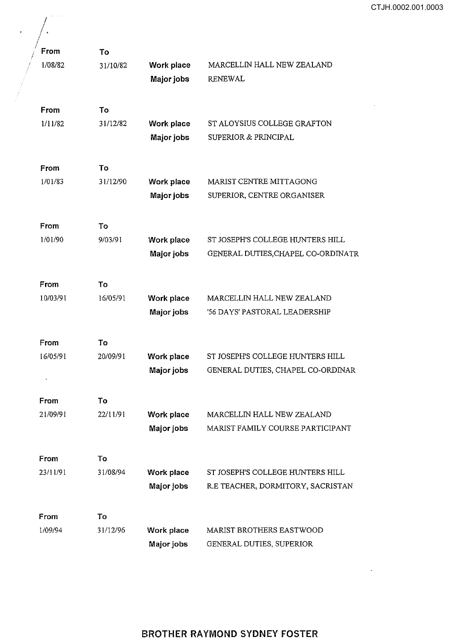$\sim 10$ 

 $\sim$ 

| From     | To       |                                 |                                                                        |
|----------|----------|---------------------------------|------------------------------------------------------------------------|
| 1/08/82  | 31/10/82 | Work place<br>Major jobs        | MARCELLIN HALL NEW ZEALAND<br><b>RENEWAL</b>                           |
| From     | To       |                                 |                                                                        |
| 1/11/82  | 31/12/82 | Work place<br>Major jobs        | ST ALOYSIUS COLLEGE GRAFTON<br><b>SUPERIOR &amp; PRINCIPAL</b>         |
| From     | To       |                                 |                                                                        |
| 1/01/83  | 31/12/90 | Work place<br>Major jobs        | MARIST CENTRE MITTAGONG<br>SUPERIOR, CENTRE ORGANISER                  |
| From     | To       |                                 |                                                                        |
| 1/01/90  | 9/03/91  | Work place<br>Major jobs        | ST JOSEPH'S COLLEGE HUNTERS HILL<br>GENERAL DUTIES, CHAPEL CO-ORDINATR |
| From     | To       |                                 |                                                                        |
| 10/03/91 | 16/05/91 | Work place<br>Major jobs        | MARCELLIN HALL NEW ZEALAND<br>'56 DAYS' PASTORAL LEADERSHIP            |
| From     | To       |                                 |                                                                        |
| 16/05/91 | 20/09/91 | Work place<br>Major jobs        | ST JOSEPH'S COLLEGE HUNTERS HILL<br>GENERAL DUTIES, CHAPEL CO-ORDINAR  |
| From     | Τo       |                                 |                                                                        |
| 21/09/91 | 22/11/91 | Work place<br>Major jobs        | MARCELLIN HALL NEW ZEALAND<br>MARIST FAMILY COURSE PARTICIPANT         |
| From     | To       |                                 |                                                                        |
| 23/11/91 | 31/08/94 | Work place<br>Major jobs        | ST JOSEPH'S COLLEGE HUNTERS HILL<br>R.E TEACHER, DORMITORY, SACRISTAN  |
| From     | To       |                                 |                                                                        |
| 1/09/94  | 31/12/96 | Work place<br><b>Major jobs</b> | MARIST BROTHERS EASTWOOD<br>GENERAL DUTIES, SUPERIOR                   |